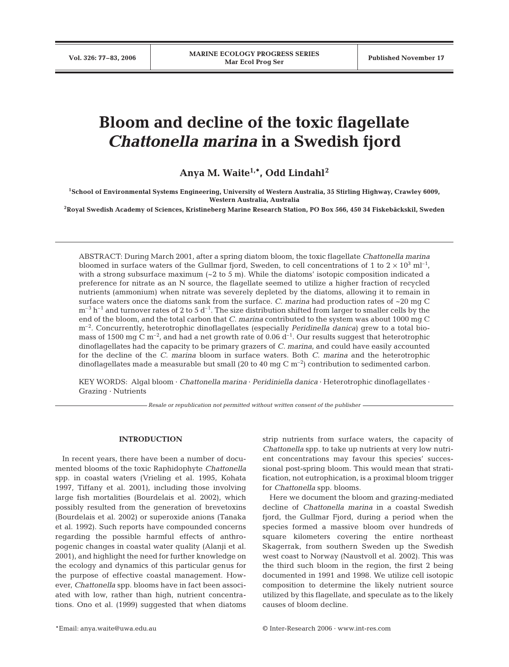# **Bloom and decline of the toxic flagellate** *Chattonella marina* **in a Swedish fjord**

Anya M. Waite<sup>1,\*</sup>, Odd Lindahl<sup>2</sup>

**1School of Environmental Systems Engineering, University of Western Australia, 35 Stirling Highway, Crawley 6009, Western Australia, Australia**

**2Royal Swedish Academy of Sciences, Kristineberg Marine Research Station, PO Box 566, 450 34 Fiskebäckskil, Sweden**

ABSTRACT: During March 2001, after a spring diatom bloom, the toxic flagellate *Chattonella marina* bloomed in surface waters of the Gullmar fjord, Sweden, to cell concentrations of 1 to  $2 \times 10^3$  ml<sup>-1</sup>, with a strong subsurface maximum  $(-2 \text{ to } 5 \text{ m})$ . While the diatoms' isotopic composition indicated a preference for nitrate as an N source, the flagellate seemed to utilize a higher fraction of recycled nutrients (ammonium) when nitrate was severely depleted by the diatoms, allowing it to remain in surface waters once the diatoms sank from the surface. *C. marina* had production rates of ~20 mg C  $m^{-3}$  h<sup>-1</sup> and turnover rates of 2 to 5 d<sup>-1</sup>. The size distribution shifted from larger to smaller cells by the end of the bloom, and the total carbon that *C. marina* contributed to the system was about 1000 mg C m–2. Concurrently, heterotrophic dinoflagellates (especially *Peridinella danica*) grew to a total biomass of 1500 mg C  $\rm m^{-2}$ , and had a net growth rate of 0.06  $\rm d^{-1}$ . Our results suggest that heterotrophic dinoflagellates had the capacity to be primary grazers of *C. marina*, and could have easily accounted for the decline of the *C. marina* bloom in surface waters. Both *C. marina* and the heterotrophic dinoflagellates made a measurable but small (20 to 40 mg C  $\rm m^{-2}$ ) contribution to sedimented carbon.

KEY WORDS: Algal bloom · *Chattonella marina* · *Peridiniella danica* · Heterotrophic dinoflagellates · Grazing · Nutrients

*Resale or republication not permitted without written consent of the publisher*

# **INTRODUCTION**

In recent years, there have been a number of documented blooms of the toxic Raphidophyte *Chattonella* spp. in coastal waters (Vrieling et al. 1995, Kohata 1997, Tiffany et al. 2001), including those involving large fish mortalities (Bourdelais et al. 2002), which possibly resulted from the generation of brevetoxins (Bourdelais et al. 2002) or superoxide anions (Tanaka et al. 1992). Such reports have compounded concerns regarding the possible harmful effects of anthropogenic changes in coastal water quality (Alanji et al. 2001), and highlight the need for further knowledge on the ecology and dynamics of this particular genus for the purpose of effective coastal management. However, *Chattonella* spp. blooms have in fact been associated with low, rather than high, nutrient concentrations. Ono et al. (1999) suggested that when diatoms

strip nutrients from surface waters, the capacity of *Chattonella* spp. to take up nutrients at very low nutrient concentrations may favour this species' successional post-spring bloom. This would mean that stratification, not eutrophication, is a proximal bloom trigger for *Chattonella* spp. blooms.

Here we document the bloom and grazing-mediated decline of *Chattonella marina* in a coastal Swedish fjord, the Gullmar Fjord, during a period when the species formed a massive bloom over hundreds of square kilometers covering the entire northeast Skagerrak, from southern Sweden up the Swedish west coast to Norway (Naustvoll et al. 2002). This was the third such bloom in the region, the first 2 being documented in 1991 and 1998. We utilize cell isotopic composition to determine the likely nutrient source utilized by this flagellate, and speculate as to the likely causes of bloom decline.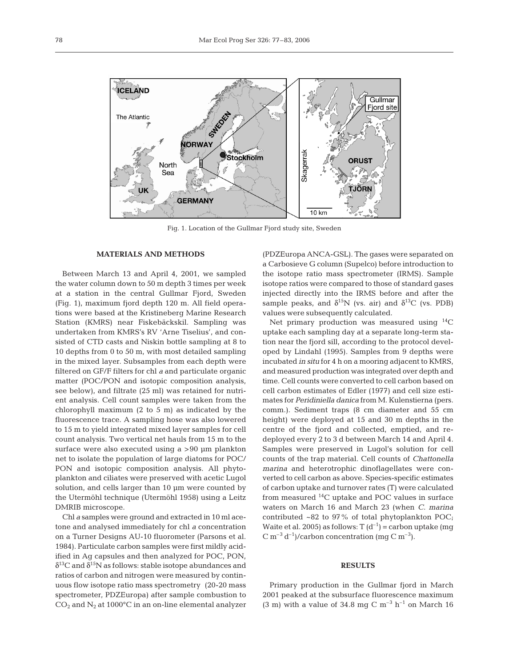

Fig. 1. Location of the Gullmar Fjord study site, Sweden

#### **MATERIALS AND METHODS**

Between March 13 and April 4, 2001, we sampled the water column down to 50 m depth 3 times per week at a station in the central Gullmar Fjord, Sweden (Fig. 1), maximum fjord depth 120 m. All field operations were based at the Kristineberg Marine Research Station (KMRS) near Fiskebäckskil. Sampling was undertaken from KMRS's RV 'Arne Tiselius', and consisted of CTD casts and Niskin bottle sampling at 8 to 10 depths from 0 to 50 m, with most detailed sampling in the mixed layer. Subsamples from each depth were filtered on GF/F filters for chl *a* and particulate organic matter (POC/PON and isotopic composition analysis, see below), and filtrate (25 ml) was retained for nutrient analysis. Cell count samples were taken from the chlorophyll maximum (2 to 5 m) as indicated by the fluorescence trace. A sampling hose was also lowered to 15 m to yield integrated mixed layer samples for cell count analysis. Two vertical net hauls from 15 m to the surface were also executed using a >90 µm plankton net to isolate the population of large diatoms for POC/ PON and isotopic composition analysis. All phytoplankton and ciliates were preserved with acetic Lugol solution, and cells larger than 10  $\mu$ m were counted by the Utermöhl technique (Utermöhl 1958) using a Leitz DMRIB microscope.

Chl *a* samples were ground and extracted in 10 ml acetone and analysed immediately for chl *a* concentration on a Turner Designs AU-10 fluorometer (Parsons et al. 1984). Particulate carbon samples were first mildly acidified in Ag capsules and then analyzed for POC, PON,  $\delta^{13}$ C and  $\delta^{15}$ N as follows: stable isotope abundances and ratios of carbon and nitrogen were measured by continuous flow isotope ratio mass spectrometry (20-20 mass spectrometer, PDZEuropa) after sample combustion to  $CO<sub>2</sub>$  and  $N<sub>2</sub>$  at 1000°C in an on-line elemental analyzer (PDZEuropa ANCA-GSL). The gases were separated on a Carbosieve G column (Supelco) before introduction to the isotope ratio mass spectrometer (IRMS). Sample isotope ratios were compared to those of standard gases injected directly into the IRMS before and after the sample peaks, and  $\delta^{15}N$  (vs. air) and  $\delta^{13}C$  (vs. PDB) values were subsequently calculated.

Net primary production was measured using 14C uptake each sampling day at a separate long-term station near the fjord sill, according to the protocol developed by Lindahl (1995). Samples from 9 depths were incubated *in situ* for 4 h on a mooring adjacent to KMRS, and measured production was integrated over depth and time. Cell counts were converted to cell carbon based on cell carbon estimates of Edler (1977) and cell size estimates for *Peridiniella danica* from M. Kulenstierna (pers. comm.). Sediment traps (8 cm diameter and 55 cm height) were deployed at 15 and 30 m depths in the centre of the fjord and collected, emptied, and redeployed every 2 to 3 d between March 14 and April 4. Samples were preserved in Lugol's solution for cell counts of the trap material. Cell counts of *Chattonella marina* and heterotrophic dinoflagellates were converted to cell carbon as above. Species-specific estimates of carbon uptake and turnover rates (T) were calculated from measured  $^{14}$ C uptake and POC values in surface waters on March 16 and March 23 (when *C. marina* contributed ~82 to 97% of total phytoplankton POC; Waite et al. 2005) as follows:  $T(d^{-1}) =$ carbon uptake (mg  $C m^{-3} d^{-1}$ /carbon concentration (mg  $C m^{-3}$ ).

### **RESULTS**

Primary production in the Gullmar fjord in March 2001 peaked at the subsurface fluorescence maximum (3 m) with a value of 34.8 mg C  $\mathrm{m}^{-3}$  h<sup>-1</sup> on March 16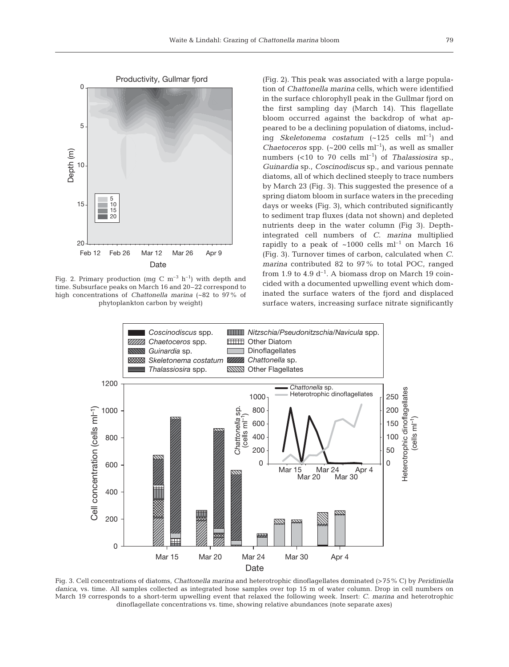

Fig. 2. Primary production (mg C  $m^{-3}$  h<sup>-1</sup>) with depth and time. Subsurface peaks on March 16 and 20–22 correspond to high concentrations of *Chattonella marina* (~82 to 97% of phytoplankton carbon by weight)

(Fig. 2). This peak was associated with a large population of *Chattonella marina* cells, which were identified in the surface chlorophyll peak in the Gullmar fjord on the first sampling day (March 14). This flagellate bloom occurred against the backdrop of what appeared to be a declining population of diatoms, including *Skeletonema costatum* (~125 cells ml<sup>-1</sup>) and *Chaetoceros* spp.  $(-200 \text{ cells } ml^{-1})$ , as well as smaller numbers (<10 to 70 cells ml–1) of *Thalassiosira* sp., *Guinardia* sp., *Coscinodiscus* sp., and various pennate diatoms, all of which declined steeply to trace numbers by March 23 (Fig. 3). This suggested the presence of a spring diatom bloom in surface waters in the preceding days or weeks (Fig. 3), which contributed significantly to sediment trap fluxes (data not shown) and depleted nutrients deep in the water column (Fig 3). Depthintegrated cell numbers of *C. marina* multiplied rapidly to a peak of  $~1000$  cells ml<sup>-1</sup> on March 16 (Fig. 3). Turnover times of carbon, calculated when *C. marina* contributed 82 to 97% to total POC, ranged from 1.9 to 4.9  $d^{-1}$ . A biomass drop on March 19 coincided with a documented upwelling event which dominated the surface waters of the fjord and displaced surface waters, increasing surface nitrate significantly



Fig. 3. Cell concentrations of diatoms, *Chattonella marina* and heterotrophic dinoflagellates dominated (>75% C) by *Peridiniella danica*, vs. time. All samples collected as integrated hose samples over top 15 m of water column. Drop in cell numbers on March 19 corresponds to a short-term upwelling event that relaxed the following week. Insert: *C. marina* and heterotrophic dinoflagellate concentrations vs. time, showing relative abundances (note separate axes)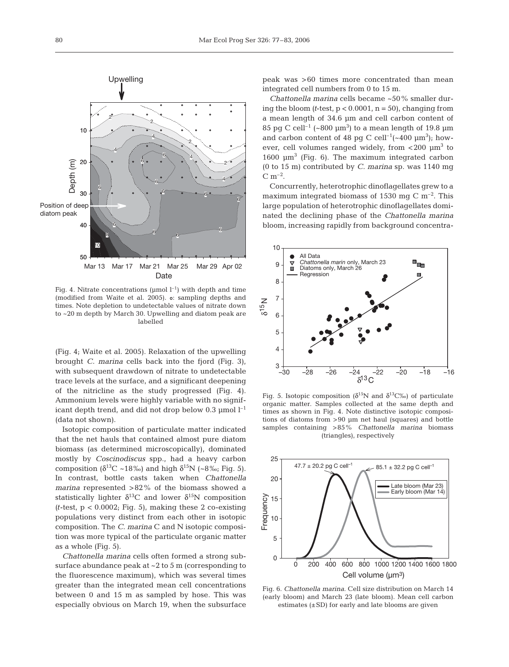

(modified from Waite et al. 2005). s: sampling depths and times. Note depletion to undetectable values of nitrate down to ~20 m depth by March 30. Upwelling and diatom peak are labelled

(Fig. 4; Waite et al. 2005). Relaxation of the upwelling brought *C. marina* cells back into the fjord (Fig. 3), with subsequent drawdown of nitrate to undetectable trace levels at the surface, and a significant deepening of the nitricline as the study progressed (Fig. 4). Ammonium levels were highly variable with no significant depth trend, and did not drop below 0.3  $\mu$ mol l<sup>-1</sup> (data not shown).

Isotopic composition of particulate matter indicated that the net hauls that contained almost pure diatom biomass (as determined microscopically), dominated mostly by *Coscinodiscus* spp., had a heavy carbon composition ( $\delta^{13}$ C ~18‰) and high  $\delta^{15}$ N (~8‰; Fig. 5). In contrast, bottle casts taken when *Chattonella marina* represented >82% of the biomass showed a statistically lighter  $\delta^{13}C$  and lower  $\delta^{15}N$  composition *(t*-test, p < 0.0002; Fig. 5), making these 2 co-existing populations very distinct from each other in isotopic composition. The *C. marina* C and N isotopic composition was more typical of the particulate organic matter as a whole (Fig. 5).

*Chattonella marina* cells often formed a strong subsurface abundance peak at  $\sim$  2 to 5 m (corresponding to the fluorescence maximum), which was several times greater than the integrated mean cell concentrations between 0 and 15 m as sampled by hose. This was especially obvious on March 19, when the subsurface peak was >60 times more concentrated than mean integrated cell numbers from 0 to 15 m.

*Chattonella marina* cells became ~50% smaller during the bloom  $(t$ -test,  $p < 0.0001$ ,  $n = 50$ , changing from a mean length of 34.6 µm and cell carbon content of 85 pg C cell<sup>-1</sup> (~800  $\mu$ m<sup>3</sup>) to a mean length of 19.8  $\mu$ m and carbon content of 48 pg C cell<sup>-1</sup>( $\sim$ 400  $\mu$ m<sup>3</sup>); however, cell volumes ranged widely, from  $<$  200  $\mu$ m<sup>3</sup> to 1600  $\mu$ m<sup>3</sup> (Fig. 6). The maximum integrated carbon (0 to 15 m) contributed by *C. marina* sp. was 1140 mg  $C m^{-2}$ .

Concurrently, heterotrophic dinoflagellates grew to a maximum integrated biomass of 1530 mg C  $\mathrm{m}^{-2}$ . This large population of heterotrophic dinoflagellates dominated the declining phase of the *Chattonella marina* bloom, increasing rapidly from background concentra-



Fig. 5. Isotopic composition ( $\delta^{15}N$  and  $\delta^{13}C\%$ ) of particulate organic matter. Samples collected at the same depth and times as shown in Fig. 4. Note distinctive isotopic compositions of diatoms from >90 µm net haul (squares) and bottle samples containing >85% *Chattonella marina* biomass (triangles), respectively



Fig. 6. *Chattonella marina*. Cell size distribution on March 14 (early bloom) and March 23 (late bloom). Mean cell carbon estimates  $(\pm SD)$  for early and late blooms are given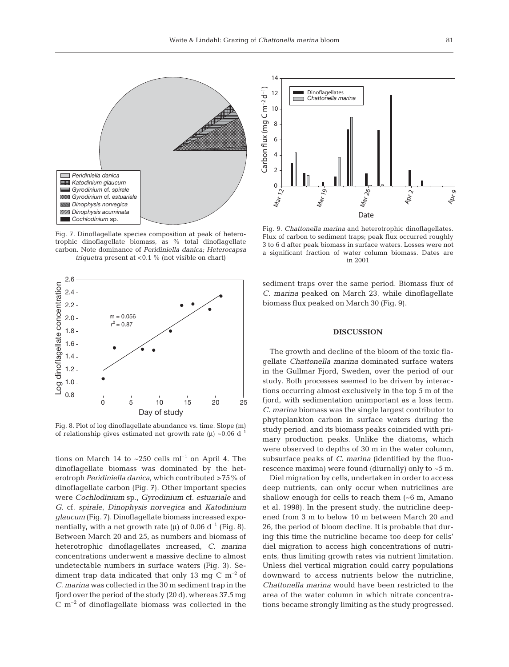

Fig. 7. Dinoflagellate species composition at peak of heterotrophic dinoflagellate biomass, as % total dinoflagellate carbon. Note dominance of *Peridiniella danica; Heterocapsa triquetra* present at <0.1 % (not visible on chart)



Fig. 8. Plot of log dinoflagellate abundance vs. time. Slope (m) of relationship gives estimated net growth rate  $(\mu) \sim 0.06$  d<sup>-1</sup>

tions on March 14 to  $\sim$  250 cells ml<sup>-1</sup> on April 4. The dinoflagellate biomass was dominated by the heterotroph *Peridiniella danica*, which contributed >75% of dinoflagellate carbon (Fig. 7). Other important species were *Cochlodinium* sp., *Gyrodinium* cf. *estuariale* and *G.* cf. *spirale*, *Dinophysis norvegica* and *Katodinium glaucum* (Fig. 7). Dinoflagellate biomass increased exponentially, with a net growth rate ( $\mu$ ) of 0.06 d<sup>-1</sup> (Fig. 8). Between March 20 and 25, as numbers and biomass of heterotrophic dinoflagellates increased, *C. marina* concentrations underwent a massive decline to almost undetectable numbers in surface waters (Fig. 3). Sediment trap data indicated that only 13 mg C  $\rm m^{-2}$  of *C. marina* was collected in the 30 m sediment trap in the fjord over the period of the study (20 d), whereas 37.5 mg  $C \text{ m}^{-2}$  of dinoflagellate biomass was collected in the

14 Carbon flux (mg C m–2 d–1) Carbon flux (mg C m<sup>-2</sup> d<sup>-1</sup>) Dinoflagellates 12 *Chattonella marina* 10 8 6 4 2  $M_{a r}$   $\sim$   $\frac{0}{1 + a}$  $M_{\text{d}r}$ <sub>26</sub>  $M<sub>ar 19</sub>$  $Ap<sub>2</sub>$ Apr<sub>9</sub> Date

Fig. 9. *Chattonella marina* and heterotrophic dinoflagellates. Flux of carbon to sediment traps; peak flux occurred roughly 3 to 6 d after peak biomass in surface waters. Losses were not a significant fraction of water column biomass. Dates are in 2001

sediment traps over the same period. Biomass flux of *C. marina* peaked on March 23, while dinoflagellate biomass flux peaked on March 30 (Fig. 9).

# **DISCUSSION**

The growth and decline of the bloom of the toxic flagellate *Chattonella marina* dominated surface waters in the Gullmar Fjord, Sweden, over the period of our study. Both processes seemed to be driven by interactions occurring almost exclusively in the top 5 m of the fjord, with sedimentation unimportant as a loss term. *C. marina* biomass was the single largest contributor to phytoplankton carbon in surface waters during the study period, and its biomass peaks coincided with primary production peaks. Unlike the diatoms, which were observed to depths of 30 m in the water column, subsurface peaks of *C. marina* (identified by the fluorescence maxima) were found (diurnally) only to ~5 m.

Diel migration by cells, undertaken in order to access deep nutrients, can only occur when nutriclines are shallow enough for cells to reach them (~6 m, Amano et al. 1998). In the present study, the nutricline deepened from 3 m to below 10 m between March 20 and 26, the period of bloom decline. It is probable that during this time the nutricline became too deep for cells' diel migration to access high concentrations of nutrients, thus limiting growth rates via nutrient limitation. Unless diel vertical migration could carry populations downward to access nutrients below the nutricline, *Chattonella marina* would have been restricted to the area of the water column in which nitrate concentrations became strongly limiting as the study progressed.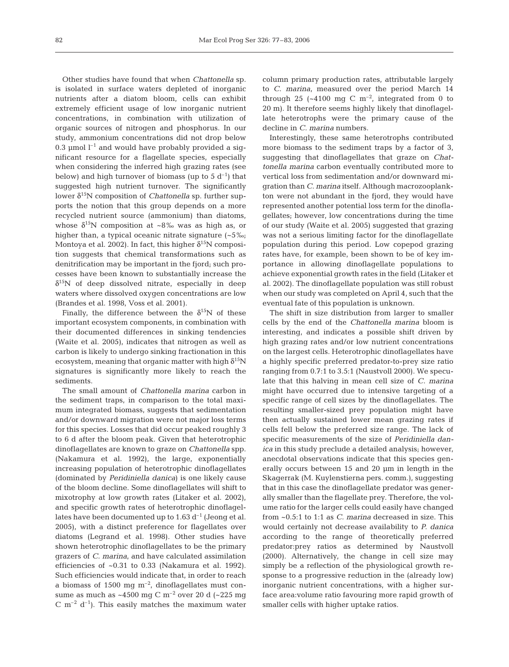Other studies have found that when *Chattonella* sp*.* is isolated in surface waters depleted of inorganic nutrients after a diatom bloom, cells can exhibit extremely efficient usage of low inorganic nutrient concentrations, in combination with utilization of organic sources of nitrogen and phosphorus. In our study, ammonium concentrations did not drop below 0.3  $\mu$ mol  $l^{-1}$  and would have probably provided a significant resource for a flagellate species, especially when considering the inferred high grazing rates (see below) and high turnover of biomass (up to  $5 d^{-1}$ ) that suggested high nutrient turnover. The significantly lower δ<sup>15</sup>N composition of *Chattonella* sp. further supports the notion that this group depends on a more recycled nutrient source (ammonium) than diatoms, whose  $\delta^{15}N$  composition at ~8‰ was as high as, or higher than, a typical oceanic nitrate signature (~5‰; Montoya et al. 2002). In fact, this higher  $\delta^{15}N$  composition suggests that chemical transformations such as denitrification may be important in the fjord; such processes have been known to substantially increase the  $\delta^{15}$ N of deep dissolved nitrate, especially in deep waters where dissolved oxygen concentrations are low (Brandes et al. 1998, Voss et al. 2001).

Finally, the difference between the  $\delta^{15}N$  of these important ecosystem components, in combination with their documented differences in sinking tendencies (Waite et al. 2005), indicates that nitrogen as well as carbon is likely to undergo sinking fractionation in this ecosystem, meaning that organic matter with high  $\delta^{15}N$ signatures is significantly more likely to reach the sediments.

The small amount of *Chattonella marina* carbon in the sediment traps, in comparison to the total maximum integrated biomass, suggests that sedimentation and/or downward migration were not major loss terms for this species. Losses that did occur peaked roughly 3 to 6 d after the bloom peak. Given that heterotrophic dinoflagellates are known to graze on *Chattonella* spp. (Nakamura et al. 1992), the large, exponentially increasing population of heterotrophic dinoflagellates (dominated by *Peridiniella danica*) is one likely cause of the bloom decline. Some dinoflagellates will shift to mixotrophy at low growth rates (Litaker et al. 2002), and specific growth rates of heterotrophic dinoflagellates have been documented up to  $1.63 d^{-1}$  (Jeong et al. 2005), with a distinct preference for flagellates over diatoms (Legrand et al. 1998). Other studies have shown heterotrophic dinoflagellates to be the primary grazers of *C. marina*, and have calculated assimilation efficiencies of ~0.31 to 0.33 (Nakamura et al. 1992). Such efficiencies would indicate that, in order to reach a biomass of 1500 mg  $m^{-2}$ , dinoflagellates must consume as much as  $\sim$ 4500 mg C m<sup>-2</sup> over 20 d ( $\sim$ 225 mg  $C$  m<sup>-2</sup> d<sup>-1</sup>). This easily matches the maximum water column primary production rates, attributable largely to *C. marina*, measured over the period March 14 through 25 ( $\sim$ 4100 mg C m<sup>-2</sup>, integrated from 0 to 20 m). It therefore seems highly likely that dinoflagellate heterotrophs were the primary cause of the decline in *C. marina* numbers.

Interestingly, these same heterotrophs contributed more biomass to the sediment traps by a factor of 3, suggesting that dinoflagellates that graze on *Chattonella marina* carbon eventually contributed more to vertical loss from sedimentation and/or downward migration than *C. marina* itself. Although macrozooplankton were not abundant in the fjord, they would have represented another potential loss term for the dinoflagellates; however, low concentrations during the time of our study (Waite et al. 2005) suggested that grazing was not a serious limiting factor for the dinoflagellate population during this period. Low copepod grazing rates have, for example, been shown to be of key importance in allowing dinoflagellate populations to achieve exponential growth rates in the field (Litaker et al. 2002). The dinoflagellate population was still robust when our study was completed on April 4, such that the eventual fate of this population is unknown.

The shift in size distribution from larger to smaller cells by the end of the *Chattonella marina* bloom is interesting, and indicates a possible shift driven by high grazing rates and/or low nutrient concentrations on the largest cells. Heterotrophic dinoflagellates have a highly specific preferred predator-to-prey size ratio ranging from 0.7:1 to 3.5:1 (Naustvoll 2000). We speculate that this halving in mean cell size of *C. marina* might have occurred due to intensive targeting of a specific range of cell sizes by the dinoflagellates. The resulting smaller-sized prey population might have then actually sustained lower mean grazing rates if cells fell below the preferred size range. The lack of specific measurements of the size of *Peridiniella danica* in this study preclude a detailed analysis; however, anecdotal observations indicate that this species generally occurs between 15 and 20 µm in length in the Skagerrak (M. Kuylenstierna pers. comm.), suggesting that in this case the dinoflagellate predator was generally smaller than the flagellate prey. Therefore, the volume ratio for the larger cells could easily have changed from ~0.5:1 to 1:1 as *C. marina* decreased in size. This would certainly not decrease availability to *P. danica* according to the range of theoretically preferred predator:prey ratios as determined by Naustvoll (2000). Alternatively, the change in cell size may simply be a reflection of the physiological growth response to a progressive reduction in the (already low) inorganic nutrient concentrations, with a higher surface area:volume ratio favouring more rapid growth of smaller cells with higher uptake ratios.